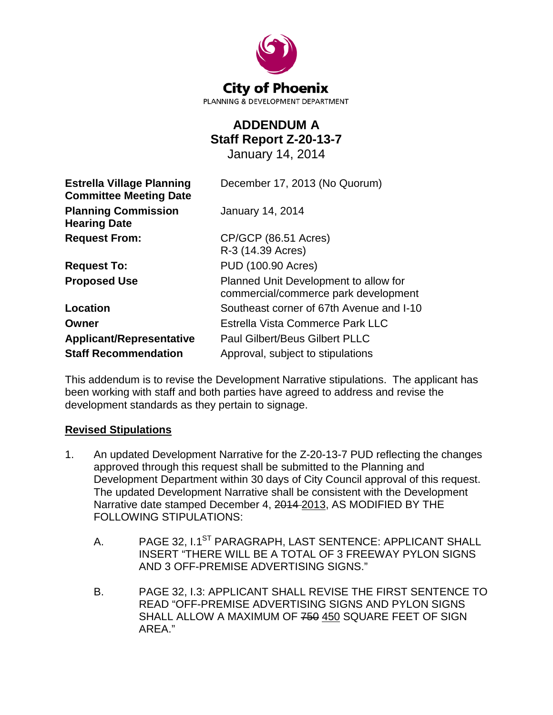

# **ADDENDUM A Staff Report Z-20-13-7**

January 14, 2014

| <b>Estrella Village Planning</b><br><b>Committee Meeting Date</b> | December 17, 2013 (No Quorum)                                                 |  |  |  |  |
|-------------------------------------------------------------------|-------------------------------------------------------------------------------|--|--|--|--|
| <b>Planning Commission</b><br><b>Hearing Date</b>                 | <b>January 14, 2014</b>                                                       |  |  |  |  |
| <b>Request From:</b>                                              | CP/GCP (86.51 Acres)                                                          |  |  |  |  |
|                                                                   | R-3 (14.39 Acres)                                                             |  |  |  |  |
| <b>Request To:</b>                                                | PUD (100.90 Acres)                                                            |  |  |  |  |
| <b>Proposed Use</b>                                               | Planned Unit Development to allow for<br>commercial/commerce park development |  |  |  |  |
| Location                                                          | Southeast corner of 67th Avenue and I-10                                      |  |  |  |  |
| Owner                                                             | Estrella Vista Commerce Park LLC                                              |  |  |  |  |
| <b>Applicant/Representative</b>                                   | <b>Paul Gilbert/Beus Gilbert PLLC</b>                                         |  |  |  |  |
| <b>Staff Recommendation</b>                                       | Approval, subject to stipulations                                             |  |  |  |  |

This addendum is to revise the Development Narrative stipulations. The applicant has been working with staff and both parties have agreed to address and revise the development standards as they pertain to signage.

# **Revised Stipulations**

- 1. An updated Development Narrative for the Z-20-13-7 PUD reflecting the changes approved through this request shall be submitted to the Planning and Development Department within 30 days of City Council approval of this request. The updated Development Narrative shall be consistent with the Development Narrative date stamped December 4, 2014 2013, AS MODIFIED BY THE FOLLOWING STIPULATIONS:
	- A. PAGE 32, I.1<sup>ST</sup> PARAGRAPH, LAST SENTENCE: APPLICANT SHALL INSERT "THERE WILL BE A TOTAL OF 3 FREEWAY PYLON SIGNS AND 3 OFF-PREMISE ADVERTISING SIGNS."
	- B. PAGE 32, I.3: APPLICANT SHALL REVISE THE FIRST SENTENCE TO READ "OFF-PREMISE ADVERTISING SIGNS AND PYLON SIGNS SHALL ALLOW A MAXIMUM OF 750 450 SQUARE FEET OF SIGN AREA."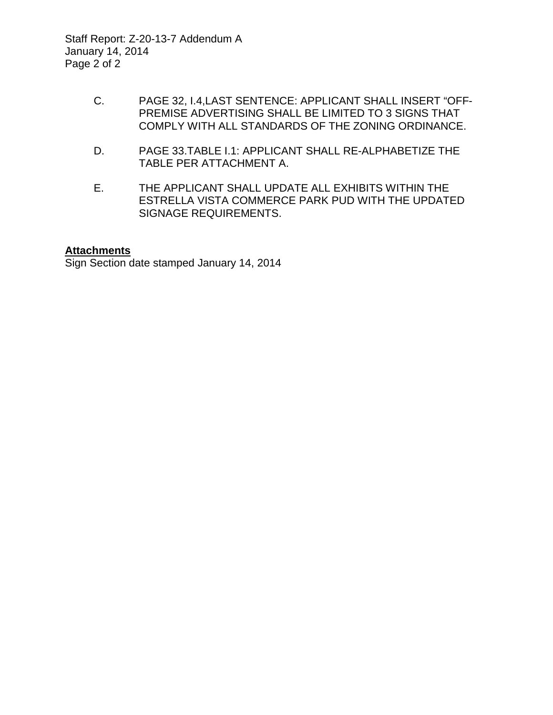Staff Report: Z-20-13-7 Addendum A January 14, 2014 Page 2 of 2

- C. PAGE 32, I.4,LAST SENTENCE: APPLICANT SHALL INSERT "OFF-PREMISE ADVERTISING SHALL BE LIMITED TO 3 SIGNS THAT COMPLY WITH ALL STANDARDS OF THE ZONING ORDINANCE.
- D. PAGE 33.TABLE I.1: APPLICANT SHALL RE-ALPHABETIZE THE TABLE PER ATTACHMENT A.
- E. THE APPLICANT SHALL UPDATE ALL EXHIBITS WITHIN THE ESTRELLA VISTA COMMERCE PARK PUD WITH THE UPDATED SIGNAGE REQUIREMENTS.

## **Attachments**

Sign Section date stamped January 14, 2014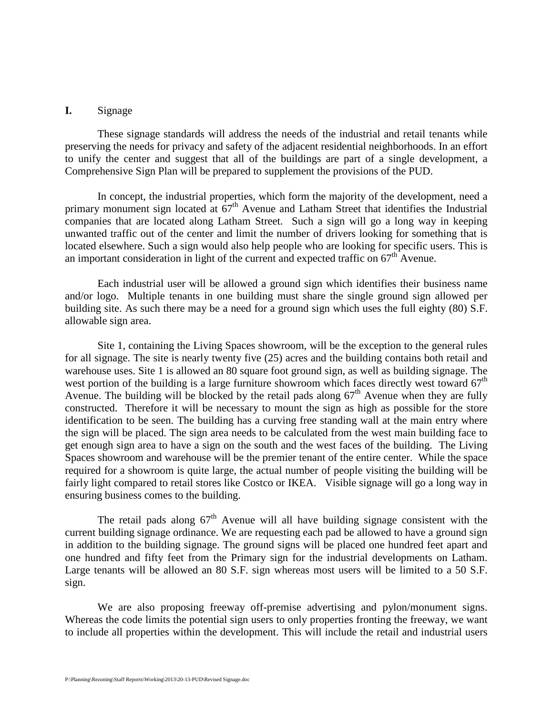#### **I.** Signage

These signage standards will address the needs of the industrial and retail tenants while preserving the needs for privacy and safety of the adjacent residential neighborhoods. In an effort to unify the center and suggest that all of the buildings are part of a single development, a Comprehensive Sign Plan will be prepared to supplement the provisions of the PUD.

In concept, the industrial properties, which form the majority of the development, need a primary monument sign located at  $67<sup>th</sup>$  Avenue and Latham Street that identifies the Industrial companies that are located along Latham Street. Such a sign will go a long way in keeping unwanted traffic out of the center and limit the number of drivers looking for something that is located elsewhere. Such a sign would also help people who are looking for specific users. This is an important consideration in light of the current and expected traffic on  $67<sup>th</sup>$  Avenue.

Each industrial user will be allowed a ground sign which identifies their business name and/or logo. Multiple tenants in one building must share the single ground sign allowed per building site. As such there may be a need for a ground sign which uses the full eighty (80) S.F. allowable sign area.

Site 1, containing the Living Spaces showroom, will be the exception to the general rules for all signage. The site is nearly twenty five (25) acres and the building contains both retail and warehouse uses. Site 1 is allowed an 80 square foot ground sign, as well as building signage. The west portion of the building is a large furniture showroom which faces directly west toward  $67<sup>th</sup>$ Avenue. The building will be blocked by the retail pads along  $67<sup>th</sup>$  Avenue when they are fully constructed. Therefore it will be necessary to mount the sign as high as possible for the store identification to be seen. The building has a curving free standing wall at the main entry where the sign will be placed. The sign area needs to be calculated from the west main building face to get enough sign area to have a sign on the south and the west faces of the building. The Living Spaces showroom and warehouse will be the premier tenant of the entire center. While the space required for a showroom is quite large, the actual number of people visiting the building will be fairly light compared to retail stores like Costco or IKEA. Visible signage will go a long way in ensuring business comes to the building.

The retail pads along  $67<sup>th</sup>$  Avenue will all have building signage consistent with the current building signage ordinance. We are requesting each pad be allowed to have a ground sign in addition to the building signage. The ground signs will be placed one hundred feet apart and one hundred and fifty feet from the Primary sign for the industrial developments on Latham. Large tenants will be allowed an 80 S.F. sign whereas most users will be limited to a 50 S.F. sign.

We are also proposing freeway off-premise advertising and pylon/monument signs. Whereas the code limits the potential sign users to only properties fronting the freeway, we want to include all properties within the development. This will include the retail and industrial users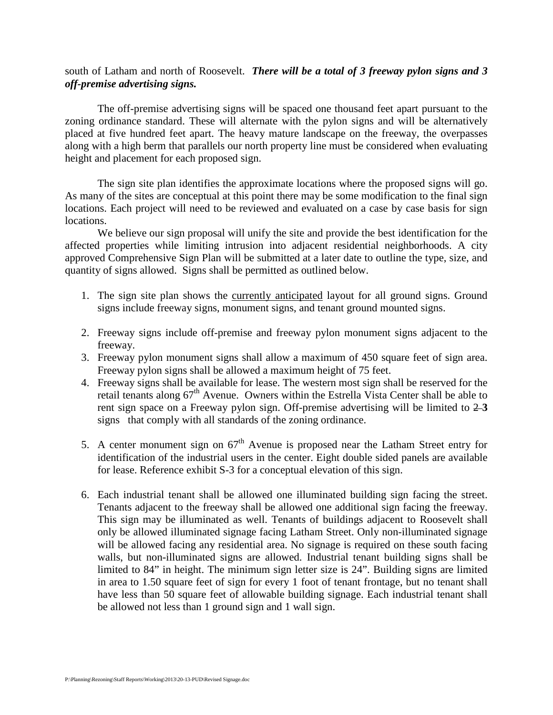### south of Latham and north of Roosevelt. *There will be a total of 3 freeway pylon signs and 3 off-premise advertising signs.*

The off-premise advertising signs will be spaced one thousand feet apart pursuant to the zoning ordinance standard. These will alternate with the pylon signs and will be alternatively placed at five hundred feet apart. The heavy mature landscape on the freeway, the overpasses along with a high berm that parallels our north property line must be considered when evaluating height and placement for each proposed sign.

The sign site plan identifies the approximate locations where the proposed signs will go. As many of the sites are conceptual at this point there may be some modification to the final sign locations. Each project will need to be reviewed and evaluated on a case by case basis for sign locations.

We believe our sign proposal will unify the site and provide the best identification for the affected properties while limiting intrusion into adjacent residential neighborhoods. A city approved Comprehensive Sign Plan will be submitted at a later date to outline the type, size, and quantity of signs allowed. Signs shall be permitted as outlined below.

- 1. The sign site plan shows the currently anticipated layout for all ground signs. Ground signs include freeway signs, monument signs, and tenant ground mounted signs.
- 2. Freeway signs include off-premise and freeway pylon monument signs adjacent to the freeway.
- 3. Freeway pylon monument signs shall allow a maximum of 450 square feet of sign area. Freeway pylon signs shall be allowed a maximum height of 75 feet.
- 4. Freeway signs shall be available for lease. The western most sign shall be reserved for the retail tenants along  $67<sup>th</sup>$  Avenue. Owners within the Estrella Vista Center shall be able to rent sign space on a Freeway pylon sign. Off-premise advertising will be limited to 2 **3** signs that comply with all standards of the zoning ordinance.
- 5. A center monument sign on  $67<sup>th</sup>$  Avenue is proposed near the Latham Street entry for identification of the industrial users in the center. Eight double sided panels are available for lease. Reference exhibit S-3 for a conceptual elevation of this sign.
- 6. Each industrial tenant shall be allowed one illuminated building sign facing the street. Tenants adjacent to the freeway shall be allowed one additional sign facing the freeway. This sign may be illuminated as well. Tenants of buildings adjacent to Roosevelt shall only be allowed illuminated signage facing Latham Street. Only non-illuminated signage will be allowed facing any residential area. No signage is required on these south facing walls, but non-illuminated signs are allowed. Industrial tenant building signs shall be limited to 84" in height. The minimum sign letter size is 24". Building signs are limited in area to 1.50 square feet of sign for every 1 foot of tenant frontage, but no tenant shall have less than 50 square feet of allowable building signage. Each industrial tenant shall be allowed not less than 1 ground sign and 1 wall sign.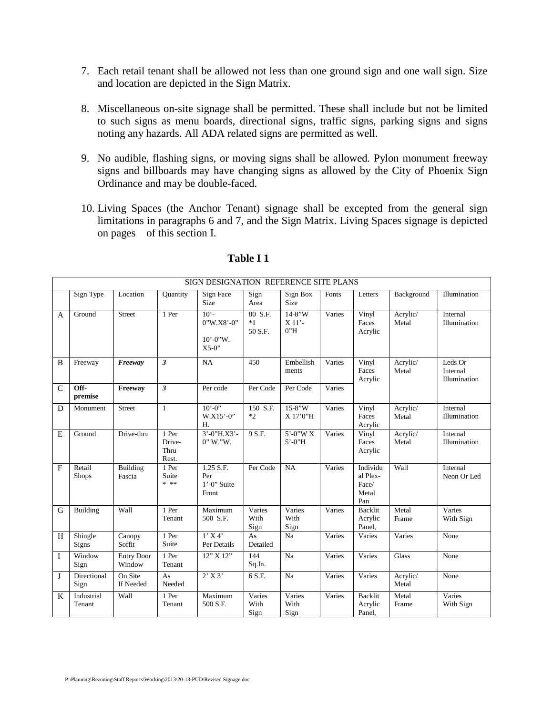- 7. Each retail tenant shall be allowed not less than one ground sign and one wall sign. Size and location are depicted in the Sign Matrix.
- 8. Miscellaneous on-site signage shall be permitted. These shall include but not be limited to such signs as menu boards, directional signs, traffic signs, parking signs and signs noting any hazards. All ADA related signs are permitted as well.
- 9. No audible, flashing signs, or moving signs shall be allowed. Pylon monument freeway signs and billboards may have changing signs as allowed by the City of Phoenix Sign Ordinance and may be double-faced.
- 10. Living Spaces (the Anchor Tenant) signage shall be excepted from the general sign limitations in paragraphs 6 and 7, and the Sign Matrix. Living Spaces signage is depicted on pages of this section I.

|              |                        |                             |                                  | SIGN DESIGNATION REFERENCE SITE PLANS               |                            |                                |        |                                               |                   |                                     |
|--------------|------------------------|-----------------------------|----------------------------------|-----------------------------------------------------|----------------------------|--------------------------------|--------|-----------------------------------------------|-------------------|-------------------------------------|
|              | Sign Type              | Location                    | Quantity                         | Sign Face<br>Size                                   | Sign<br>Area               | Sign Box<br><b>Size</b>        | Fonts  | Letters                                       | Background        | Illumination                        |
| A            | Ground                 | <b>Street</b>               | 1 Per                            | $10'$ -<br>0"W.X8'-0"<br>$10' - 0''$ W.<br>$X5-0"$  | 80 S.F.<br>$*1$<br>50 S.F. | $14 - 8''W$<br>$X$ 11'-<br>0"H | Varies | Vinyl<br>Faces<br>Acrylic                     | Acrylic/<br>Metal | Internal<br>Illumination            |
| B            | Freeway                | Freeway                     | 3                                | NA                                                  | 450                        | Embellish<br>ments             | Varies | Vinyl<br>Faces<br>Acrylic                     | Acrylic/<br>Metal | Leds Or<br>Internal<br>Illumination |
| $\mathsf{C}$ | Off-<br>premise        | Freeway                     | $\overline{\mathbf{3}}$          | Per code                                            | Per Code                   | Per Code                       | Varies |                                               |                   |                                     |
| D            | Monument               | <b>Street</b>               | $\mathbf{1}$                     | $10^{\circ} - 0$ <sup>*</sup><br>$W.X15'-0''$<br>H. | 150 S.F.<br>$*2$           | $15 - 8''W$<br>X 17'0"H        | Varies | Vinyl<br>Faces<br>Acrylic                     | Acrylic/<br>Metal | Internal<br>Illumination            |
| E            | Ground                 | Drive-thru                  | 1 Per<br>Drive-<br>Thru<br>Rest. | 3'-0"H.X3'-<br>$0''$ W."W.                          | 9 S.F.                     | 5'-0"W X<br>$5' - 0''H$        | Varies | Vinyl<br>Faces<br>Acrylic                     | Acrylic/<br>Metal | Internal<br>Illumination            |
| F            | Retail<br><b>Shops</b> | <b>Building</b><br>Fascia   | 1 Per<br>Suite<br>* **           | 1.25 S.F.<br>Per<br>$1'$ -0" Suite<br>Front         | Per Code                   | NA                             | Varies | Individu<br>al Plex-<br>Face/<br>Metal<br>Pan | Wall              | Internal<br>Neon Or Led             |
| G            | <b>Building</b>        | Wall                        | 1 Per<br>Tenant                  | Maximum<br>500 S.F.                                 | Varies<br>With<br>Sign     | Varies<br>With<br>Sign         | Varies | <b>Backlit</b><br>Acrylic<br>Panel,           | Metal<br>Frame    | Varies<br>With Sign                 |
| H            | Shingle<br>Signs       | Canopy<br>Soffit            | 1 Per<br>Suite                   | $1'$ X 4'<br>Per Details                            | As<br>Detailed             | Na                             | Varies | Varies                                        | Varies            | None                                |
| $\mathbf{I}$ | Window<br>Sign         | <b>Entry Door</b><br>Window | 1 Per<br>Tenant                  | 12" X 12"                                           | 144<br>Sq.In.              | Na                             | Varies | Varies                                        | <b>Glass</b>      | None                                |
| J            | Directional<br>Sign    | On Site<br>If Needed        | As<br>Needed                     | $2'$ X 3'                                           | 6 S.F.                     | Na                             | Varies | Varies                                        | Acrylic/<br>Metal | None                                |
| K            | Industrial<br>Tenant   | Wall                        | 1 Per<br>Tenant                  | Maximum<br>500 S.F.                                 | Varies<br>With<br>Sign     | Varies<br>With<br>Sign         | Varies | <b>Backlit</b><br>Acrylic<br>Panel,           | Metal<br>Frame    | Varies<br>With Sign                 |

#### **Table I 1**